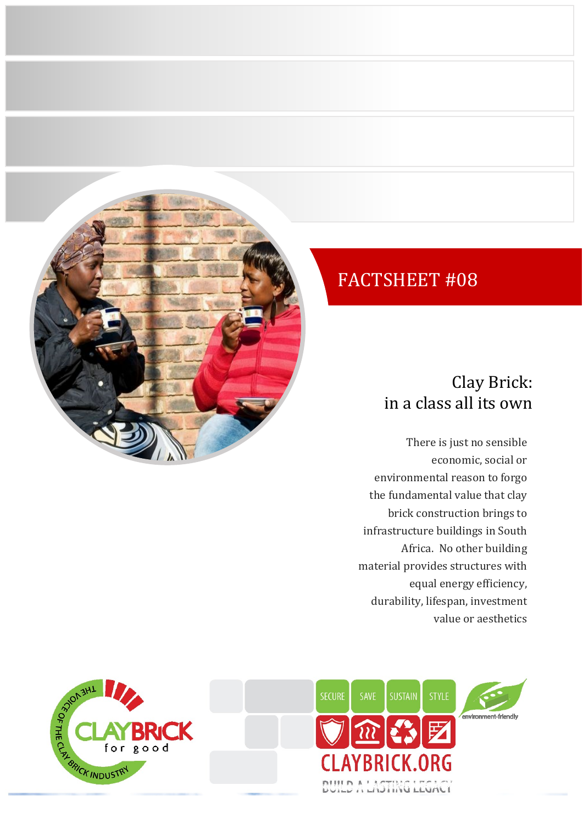

## FACTSHEET #08

## Clay Brick: in a class all its own

There is just no sensible economic, social or environmental reason to forgo the fundamental value that clay brick construction brings to infrastructure buildings in South Africa. No other building material provides structures with equal energy efficiency, durability, lifespan, investment value or aesthetics



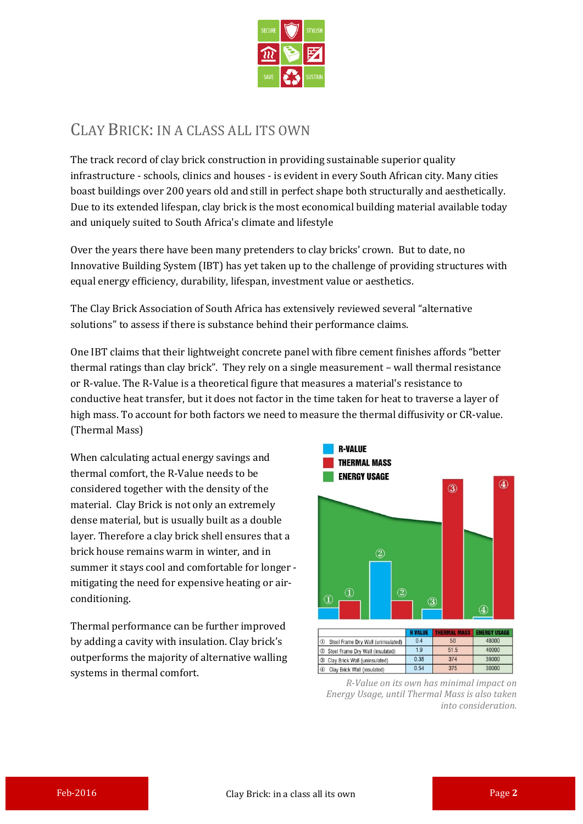

## CLAY BRICK: IN A CLASS ALL ITS OWN

The track record of clay brick construction in providing sustainable superior quality infrastructure - schools, clinics and houses - is evident in every South African city. Many cities boast buildings over 200 years old and still in perfect shape both structurally and aesthetically. Due to its extended lifespan, clay brick is the most economical building material available today and uniquely suited to South Africa's climate and lifestyle

Over the years there have been many pretenders to clay bricks' crown. But to date, no Innovative Building System (IBT) has yet taken up to the challenge of providing structures with equal energy efficiency, durability, lifespan, investment value or aesthetics.

The Clay Brick Association of South Africa has extensively reviewed several "alternative solutions" to assess if there is substance behind their performance claims.

One IBT claims that their lightweight concrete panel with fibre cement finishes affords "better thermal ratings than clay brick". They rely on a single measurement – wall thermal resistance or R-value. The R-Value is a theoretical figure that measures a material's resistance to conductive heat transfer, but it does not factor in the time taken for heat to traverse a layer of high mass. To account for both factors we need to measure the thermal diffusivity or CR-value. (Thermal Mass)

When calculating actual energy savings and thermal comfort, the R-Value needs to be considered together with the density of the material. Clay Brick is not only an extremely dense material, but is usually built as a double layer. Therefore a clay brick shell ensures that a brick house remains warm in winter, and in summer it stays cool and comfortable for longer mitigating the need for expensive heating or airconditioning.

Thermal performance can be further improved by adding a cavity with insulation. Clay brick's outperforms the majority of alternative walling systems in thermal comfort.



*R-Value on its own has minimal impact on Energy Usage, until Thermal Mass is also taken into consideration.*